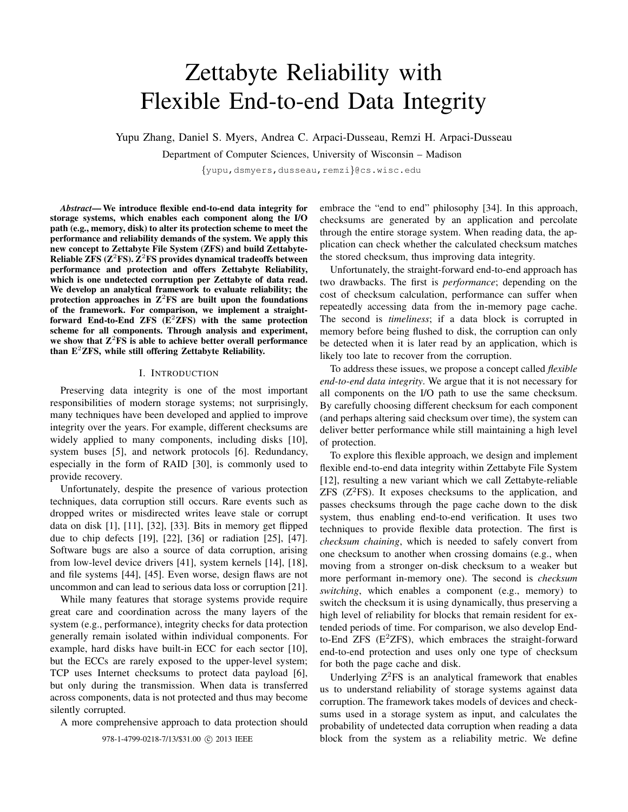# Zettabyte Reliability with Flexible End-to-end Data Integrity

Yupu Zhang, Daniel S. Myers, Andrea C. Arpaci-Dusseau, Remzi H. Arpaci-Dusseau

Department of Computer Sciences, University of Wisconsin – Madison

{yupu,dsmyers,dusseau,remzi}@cs.wisc.edu

*Abstract*— We introduce flexible end-to-end data integrity for storage systems, which enables each component along the I/O path (e.g., memory, disk) to alter its protection scheme to meet the performance and reliability demands of the system. We apply this new concept to Zettabyte File System (ZFS) and build Zettabyte-Reliable ZFS ( $\mathbb{Z}^2$ FS).  $\mathbb{Z}^2$ FS provides dynamical tradeoffs between performance and protection and offers Zettabyte Reliability, which is one undetected corruption per Zettabyte of data read. We develop an analytical framework to evaluate reliability; the protection approaches in  $Z^2FS$  are built upon the foundations of the framework. For comparison, we implement a straightforward End-to-End ZFS  $(E^2 ZFS)$  with the same protection scheme for all components. Through analysis and experiment, we show that  $Z^2FS$  is able to achieve better overall performance than  $E^2ZFS$ , while still offering Zettabyte Reliability.

#### I. INTRODUCTION

Preserving data integrity is one of the most important responsibilities of modern storage systems; not surprisingly, many techniques have been developed and applied to improve integrity over the years. For example, different checksums are widely applied to many components, including disks [10], system buses [5], and network protocols [6]. Redundancy, especially in the form of RAID [30], is commonly used to provide recovery.

Unfortunately, despite the presence of various protection techniques, data corruption still occurs. Rare events such as dropped writes or misdirected writes leave stale or corrupt data on disk [1], [11], [32], [33]. Bits in memory get flipped due to chip defects [19], [22], [36] or radiation [25], [47]. Software bugs are also a source of data corruption, arising from low-level device drivers [41], system kernels [14], [18], and file systems [44], [45]. Even worse, design flaws are not uncommon and can lead to serious data loss or corruption [21].

While many features that storage systems provide require great care and coordination across the many layers of the system (e.g., performance), integrity checks for data protection generally remain isolated within individual components. For example, hard disks have built-in ECC for each sector [10], but the ECCs are rarely exposed to the upper-level system; TCP uses Internet checksums to protect data payload [6], but only during the transmission. When data is transferred across components, data is not protected and thus may become silently corrupted.

A more comprehensive approach to data protection should

embrace the "end to end" philosophy [34]. In this approach, checksums are generated by an application and percolate through the entire storage system. When reading data, the application can check whether the calculated checksum matches the stored checksum, thus improving data integrity.

Unfortunately, the straight-forward end-to-end approach has two drawbacks. The first is *performance*; depending on the cost of checksum calculation, performance can suffer when repeatedly accessing data from the in-memory page cache. The second is *timeliness*; if a data block is corrupted in memory before being flushed to disk, the corruption can only be detected when it is later read by an application, which is likely too late to recover from the corruption.

To address these issues, we propose a concept called *flexible end-to-end data integrity*. We argue that it is not necessary for all components on the I/O path to use the same checksum. By carefully choosing different checksum for each component (and perhaps altering said checksum over time), the system can deliver better performance while still maintaining a high level of protection.

To explore this flexible approach, we design and implement flexible end-to-end data integrity within Zettabyte File System [12], resulting a new variant which we call Zettabyte-reliable  $ZFS$  ( $Z^2FS$ ). It exposes checksums to the application, and passes checksums through the page cache down to the disk system, thus enabling end-to-end verification. It uses two techniques to provide flexible data protection. The first is *checksum chaining*, which is needed to safely convert from one checksum to another when crossing domains (e.g., when moving from a stronger on-disk checksum to a weaker but more performant in-memory one). The second is *checksum switching*, which enables a component (e.g., memory) to switch the checksum it is using dynamically, thus preserving a high level of reliability for blocks that remain resident for extended periods of time. For comparison, we also develop Endto-End ZFS  $(E^2ZFS)$ , which embraces the straight-forward end-to-end protection and uses only one type of checksum for both the page cache and disk.

Underlying  $Z^2FS$  is an analytical framework that enables us to understand reliability of storage systems against data corruption. The framework takes models of devices and checksums used in a storage system as input, and calculates the probability of undetected data corruption when reading a data 978-1-4799-0218-7/13/\$31.00 © 2013 IEEE block from the system as a reliability metric. We define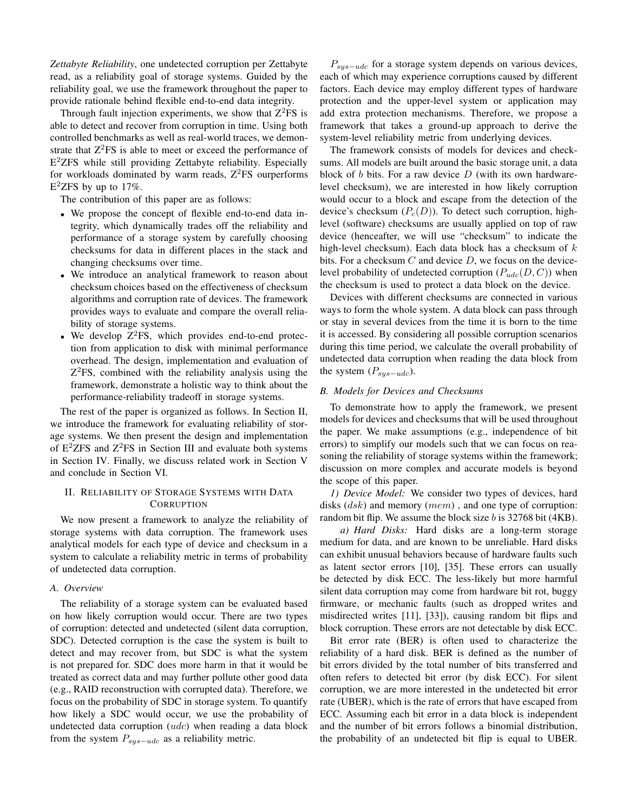*Zettabyte Reliability*, one undetected corruption per Zettabyte read, as a reliability goal of storage systems. Guided by the reliability goal, we use the framework throughout the paper to provide rationale behind flexible end-to-end data integrity.

Through fault injection experiments, we show that  $Z^2FS$  is able to detect and recover from corruption in time. Using both controlled benchmarks as well as real-world traces, we demonstrate that  $Z^2FS$  is able to meet or exceed the performance of E<sup>2</sup>ZFS while still providing Zettabyte reliability. Especially for workloads dominated by warm reads,  $Z^2FS$  ourperforms  $E^2ZFS$  by up to 17%.

The contribution of this paper are as follows:

- We propose the concept of flexible end-to-end data integrity, which dynamically trades off the reliability and performance of a storage system by carefully choosing checksums for data in different places in the stack and changing checksums over time.
- We introduce an analytical framework to reason about checksum choices based on the effectiveness of checksum algorithms and corruption rate of devices. The framework provides ways to evaluate and compare the overall reliability of storage systems.
- We develop  $Z^2FS$ , which provides end-to-end protection from application to disk with minimal performance overhead. The design, implementation and evaluation of  $Z^2$ FS, combined with the reliability analysis using the framework, demonstrate a holistic way to think about the performance-reliability tradeoff in storage systems.

The rest of the paper is organized as follows. In Section II, we introduce the framework for evaluating reliability of storage systems. We then present the design and implementation of  $E^2ZFS$  and  $Z^2FS$  in Section III and evaluate both systems in Section IV. Finally, we discuss related work in Section V and conclude in Section VI.

## II. RELIABILITY OF STORAGE SYSTEMS WITH DATA **CORRUPTION**

We now present a framework to analyze the reliability of storage systems with data corruption. The framework uses analytical models for each type of device and checksum in a system to calculate a reliability metric in terms of probability of undetected data corruption.

#### *A. Overview*

The reliability of a storage system can be evaluated based on how likely corruption would occur. There are two types of corruption: detected and undetected (silent data corruption, SDC). Detected corruption is the case the system is built to detect and may recover from, but SDC is what the system is not prepared for. SDC does more harm in that it would be treated as correct data and may further pollute other good data (e.g., RAID reconstruction with corrupted data). Therefore, we focus on the probability of SDC in storage system. To quantify how likely a SDC would occur, we use the probability of undetected data corruption  $(udc)$  when reading a data block from the system  $P_{sys-udc}$  as a reliability metric.

 $P_{sus-udc}$  for a storage system depends on various devices, each of which may experience corruptions caused by different factors. Each device may employ different types of hardware protection and the upper-level system or application may add extra protection mechanisms. Therefore, we propose a framework that takes a ground-up approach to derive the system-level reliability metric from underlying devices.

The framework consists of models for devices and checksums. All models are built around the basic storage unit, a data block of  $b$  bits. For a raw device  $D$  (with its own hardwarelevel checksum), we are interested in how likely corruption would occur to a block and escape from the detection of the device's checksum  $(P_c(D))$ . To detect such corruption, highlevel (software) checksums are usually applied on top of raw device (henceafter, we will use "checksum" to indicate the high-level checksum). Each data block has a checksum of  $k$ bits. For a checksum  $C$  and device  $D$ , we focus on the devicelevel probability of undetected corruption  $(P_{udc}(D, C))$  when the checksum is used to protect a data block on the device.

Devices with different checksums are connected in various ways to form the whole system. A data block can pass through or stay in several devices from the time it is born to the time it is accessed. By considering all possible corruption scenarios during this time period, we calculate the overall probability of undetected data corruption when reading the data block from the system  $(P_{sys-udc})$ .

# *B. Models for Devices and Checksums*

To demonstrate how to apply the framework, we present models for devices and checksums that will be used throughout the paper. We make assumptions (e.g., independence of bit errors) to simplify our models such that we can focus on reasoning the reliability of storage systems within the framework; discussion on more complex and accurate models is beyond the scope of this paper.

*1) Device Model:* We consider two types of devices, hard disks (*dsk*) and memory (*mem*), and one type of corruption: random bit flip. We assume the block size b is 32768 bit (4KB).

*a) Hard Disks:* Hard disks are a long-term storage medium for data, and are known to be unreliable. Hard disks can exhibit unusual behaviors because of hardware faults such as latent sector errors [10], [35]. These errors can usually be detected by disk ECC. The less-likely but more harmful silent data corruption may come from hardware bit rot, buggy firmware, or mechanic faults (such as dropped writes and misdirected writes [11], [33]), causing random bit flips and block corruption. These errors are not detectable by disk ECC.

Bit error rate (BER) is often used to characterize the reliability of a hard disk. BER is defined as the number of bit errors divided by the total number of bits transferred and often refers to detected bit error (by disk ECC). For silent corruption, we are more interested in the undetected bit error rate (UBER), which is the rate of errors that have escaped from ECC. Assuming each bit error in a data block is independent and the number of bit errors follows a binomial distribution, the probability of an undetected bit flip is equal to UBER.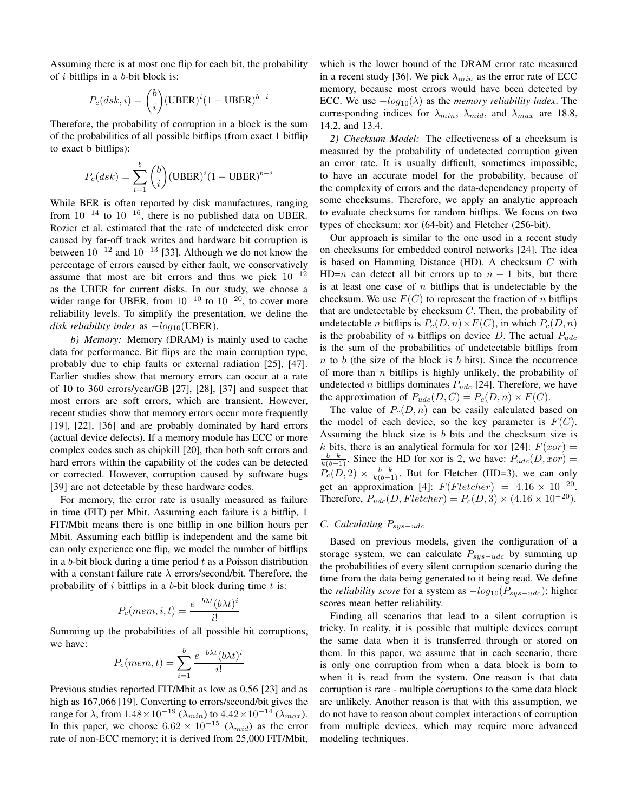Assuming there is at most one flip for each bit, the probability of  $i$  bitflips in a  $b$ -bit block is:

$$
P_c(dsk, i) = {b \choose i} (\text{UBER})^i (1 - \text{UBER})^{b-i}
$$

Therefore, the probability of corruption in a block is the sum of the probabilities of all possible bitflips (from exact 1 bitflip to exact b bitflips):

$$
P_c(dsk) = \sum_{i=1}^{b} {b \choose i} (\text{UBER})^i (1 - \text{UBER})^{b-i}
$$

While BER is often reported by disk manufactures, ranging from  $10^{-14}$  to  $10^{-16}$ , there is no published data on UBER. Rozier et al. estimated that the rate of undetected disk error caused by far-off track writes and hardware bit corruption is between  $10^{-12}$  and  $10^{-13}$  [33]. Although we do not know the percentage of errors caused by either fault, we conservatively assume that most are bit errors and thus we pick  $10^{-12}$ as the UBER for current disks. In our study, we choose a wider range for UBER, from  $10^{-10}$  to  $10^{-20}$ , to cover more reliability levels. To simplify the presentation, we define the *disk reliability index* as  $-log_{10}(\text{UBER})$ .

*b) Memory:* Memory (DRAM) is mainly used to cache data for performance. Bit flips are the main corruption type, probably due to chip faults or external radiation [25], [47]. Earlier studies show that memory errors can occur at a rate of 10 to 360 errors/year/GB [27], [28], [37] and suspect that most errors are soft errors, which are transient. However, recent studies show that memory errors occur more frequently [19], [22], [36] and are probably dominated by hard errors (actual device defects). If a memory module has ECC or more complex codes such as chipkill [20], then both soft errors and hard errors within the capability of the codes can be detected or corrected. However, corruption caused by software bugs [39] are not detectable by these hardware codes.

For memory, the error rate is usually measured as failure in time (FIT) per Mbit. Assuming each failure is a bitflip, 1 FIT/Mbit means there is one bitflip in one billion hours per Mbit. Assuming each bitflip is independent and the same bit can only experience one flip, we model the number of bitflips in a  $b$ -bit block during a time period  $t$  as a Poisson distribution with a constant failure rate  $\lambda$  errors/second/bit. Therefore, the probability of  $i$  bitflips in a  $b$ -bit block during time  $t$  is:

$$
P_c(mem, i, t) = \frac{e^{-b\lambda t}(b\lambda t)^i}{i!}
$$

Summing up the probabilities of all possible bit corruptions, we have:

$$
P_c(mem, t) = \sum_{i=1}^{b} \frac{e^{-b\lambda t} (b\lambda t)^i}{i!}
$$

Previous studies reported FIT/Mbit as low as 0.56 [23] and as high as 167,066 [19]. Converting to errors/second/bit gives the range for  $\lambda$ , from  $1.48 \times 10^{-19}$  ( $\lambda_{min}$ ) to  $4.42 \times 10^{-14}$  ( $\lambda_{max}$ ). In this paper, we choose  $6.62 \times 10^{-15}$  ( $\lambda_{mid}$ ) as the error rate of non-ECC memory; it is derived from 25,000 FIT/Mbit, which is the lower bound of the DRAM error rate measured in a recent study [36]. We pick  $\lambda_{min}$  as the error rate of ECC memory, because most errors would have been detected by ECC. We use  $-log_{10}(\lambda)$  as the *memory reliability index*. The corresponding indices for  $\lambda_{min}$ ,  $\lambda_{mid}$ , and  $\lambda_{max}$  are 18.8, 14.2, and 13.4.

*2) Checksum Model:* The effectiveness of a checksum is measured by the probability of undetected corruption given an error rate. It is usually difficult, sometimes impossible, to have an accurate model for the probability, because of the complexity of errors and the data-dependency property of some checksums. Therefore, we apply an analytic approach to evaluate checksums for random bitflips. We focus on two types of checksum: xor (64-bit) and Fletcher (256-bit).

Our approach is similar to the one used in a recent study on checksums for embedded control networks [24]. The idea is based on Hamming Distance (HD). A checksum C with HD=n can detect all bit errors up to  $n - 1$  bits, but there is at least one case of  $n$  bitflips that is undetectable by the checksum. We use  $F(C)$  to represent the fraction of n bitflips that are undetectable by checksum  $C$ . Then, the probability of undetectable *n* bitflips is  $P_c(D, n) \times F(C)$ , in which  $P_c(D, n)$ is the probability of n bitflips on device D. The actual  $P_{udc}$ is the sum of the probabilities of undetectable bitflips from  $n$  to  $b$  (the size of the block is  $b$  bits). Since the occurrence of more than  $n$  bitflips is highly unlikely, the probability of undetected *n* bitflips dominates  $P_{udc}$  [24]. Therefore, we have the approximation of  $P_{udc}(D, C) = P_c(D, n) \times F(C)$ .

The value of  $P_c(D, n)$  can be easily calculated based on the model of each device, so the key parameter is  $F(C)$ . Assuming the block size is  $b$  bits and the checksum size is k bits, there is an analytical formula for xor [24]:  $F(xor) =$  $\frac{b-k}{k(b-1)}$ . Since the HD for xor is 2, we have:  $P_{udc}(D, xor)$  =  $P_c(D, 2) \times \frac{b-k}{k(b-1)}$ . But for Fletcher (HD=3), we can only get an approximation [4]:  $F(Fleother) = 4.16 \times 10^{-20}$ . Therefore,  $P_{udc}(D, Fletcher) = P_c(D, 3) \times (4.16 \times 10^{-20}).$ 

# *C. Calculating* Psys−udc

Based on previous models, given the configuration of a storage system, we can calculate  $P_{sys-udc}$  by summing up the probabilities of every silent corruption scenario during the time from the data being generated to it being read. We define the *reliability score* for a system as  $-log_{10}(P_{sys-udc})$ ; higher scores mean better reliability.

Finding all scenarios that lead to a silent corruption is tricky. In reality, it is possible that multiple devices corrupt the same data when it is transferred through or stored on them. In this paper, we assume that in each scenario, there is only one corruption from when a data block is born to when it is read from the system. One reason is that data corruption is rare - multiple corruptions to the same data block are unlikely. Another reason is that with this assumption, we do not have to reason about complex interactions of corruption from multiple devices, which may require more advanced modeling techniques.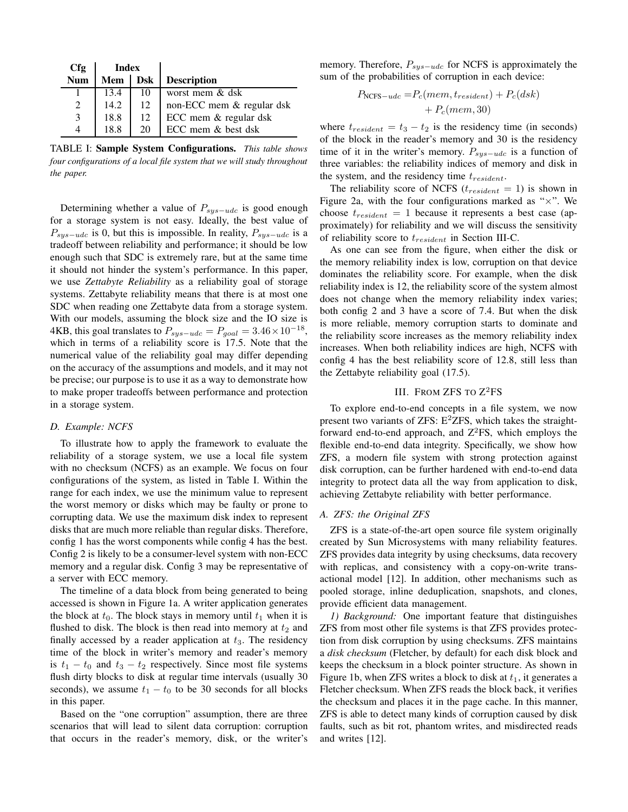| <b>Cfg</b> | Index |            |                           |  |
|------------|-------|------------|---------------------------|--|
| <b>Num</b> | Mem   | <b>Dsk</b> | <b>Description</b>        |  |
|            | 13.4  | 10         | worst mem & dsk           |  |
| 2          | 14.2  | 12         | non-ECC mem & regular dsk |  |
| 3          | 18.8  | 12         | ECC mem & regular dsk     |  |
| 4          | 18.8  | 20         | ECC mem & best dsk        |  |

TABLE I: Sample System Configurations. *This table shows four configurations of a local file system that we will study throughout the paper.*

Determining whether a value of  $P_{sys-udc}$  is good enough for a storage system is not easy. Ideally, the best value of  $P_{sys-udc}$  is 0, but this is impossible. In reality,  $P_{sys-udc}$  is a tradeoff between reliability and performance; it should be low enough such that SDC is extremely rare, but at the same time it should not hinder the system's performance. In this paper, we use *Zettabyte Reliability* as a reliability goal of storage systems. Zettabyte reliability means that there is at most one SDC when reading one Zettabyte data from a storage system. With our models, assuming the block size and the IO size is 4KB, this goal translates to  $P_{sys-udc} = P_{goal} = 3.46 \times 10^{-18}$ , which in terms of a reliability score is 17.5. Note that the numerical value of the reliability goal may differ depending on the accuracy of the assumptions and models, and it may not be precise; our purpose is to use it as a way to demonstrate how to make proper tradeoffs between performance and protection in a storage system.

#### *D. Example: NCFS*

To illustrate how to apply the framework to evaluate the reliability of a storage system, we use a local file system with no checksum (NCFS) as an example. We focus on four configurations of the system, as listed in Table I. Within the range for each index, we use the minimum value to represent the worst memory or disks which may be faulty or prone to corrupting data. We use the maximum disk index to represent disks that are much more reliable than regular disks. Therefore, config 1 has the worst components while config 4 has the best. Config 2 is likely to be a consumer-level system with non-ECC memory and a regular disk. Config 3 may be representative of a server with ECC memory.

The timeline of a data block from being generated to being accessed is shown in Figure 1a. A writer application generates the block at  $t_0$ . The block stays in memory until  $t_1$  when it is flushed to disk. The block is then read into memory at  $t_2$  and finally accessed by a reader application at  $t_3$ . The residency time of the block in writer's memory and reader's memory is  $t_1 - t_0$  and  $t_3 - t_2$  respectively. Since most file systems flush dirty blocks to disk at regular time intervals (usually 30 seconds), we assume  $t_1 - t_0$  to be 30 seconds for all blocks in this paper.

Based on the "one corruption" assumption, there are three scenarios that will lead to silent data corruption: corruption that occurs in the reader's memory, disk, or the writer's memory. Therefore,  $P_{sys-udc}$  for NCFS is approximately the sum of the probabilities of corruption in each device:

$$
P_{\text{NCFS}-udc} = P_c(mem, t_{resident}) + P_c(dsk)
$$

$$
+ P_c(mem, 30)
$$

where  $t_{resident} = t_3 - t_2$  is the residency time (in seconds) of the block in the reader's memory and 30 is the residency time of it in the writer's memory.  $P_{sys-udc}$  is a function of three variables: the reliability indices of memory and disk in the system, and the residency time  $t_{resident}$ .

The reliability score of NCFS ( $t_{resident} = 1$ ) is shown in Figure 2a, with the four configurations marked as " $\times$ ". We choose  $t_{resident} = 1$  because it represents a best case (approximately) for reliability and we will discuss the sensitivity of reliability score to  $t_{resident}$  in Section III-C.

As one can see from the figure, when either the disk or the memory reliability index is low, corruption on that device dominates the reliability score. For example, when the disk reliability index is 12, the reliability score of the system almost does not change when the memory reliability index varies; both config 2 and 3 have a score of 7.4. But when the disk is more reliable, memory corruption starts to dominate and the reliability score increases as the memory reliability index increases. When both reliability indices are high, NCFS with config 4 has the best reliability score of 12.8, still less than the Zettabyte reliability goal (17.5).

# III. FROM ZFS TO Z<sup>2</sup>FS

To explore end-to-end concepts in a file system, we now present two variants of ZFS:  $E^2ZFS$ , which takes the straightforward end-to-end approach, and  $Z^2FS$ , which employs the flexible end-to-end data integrity. Specifically, we show how ZFS, a modern file system with strong protection against disk corruption, can be further hardened with end-to-end data integrity to protect data all the way from application to disk, achieving Zettabyte reliability with better performance.

# *A. ZFS: the Original ZFS*

ZFS is a state-of-the-art open source file system originally created by Sun Microsystems with many reliability features. ZFS provides data integrity by using checksums, data recovery with replicas, and consistency with a copy-on-write transactional model [12]. In addition, other mechanisms such as pooled storage, inline deduplication, snapshots, and clones, provide efficient data management.

*1) Background:* One important feature that distinguishes ZFS from most other file systems is that ZFS provides protection from disk corruption by using checksums. ZFS maintains a *disk checksum* (Fletcher, by default) for each disk block and keeps the checksum in a block pointer structure. As shown in Figure 1b, when ZFS writes a block to disk at  $t_1$ , it generates a Fletcher checksum. When ZFS reads the block back, it verifies the checksum and places it in the page cache. In this manner, ZFS is able to detect many kinds of corruption caused by disk faults, such as bit rot, phantom writes, and misdirected reads and writes [12].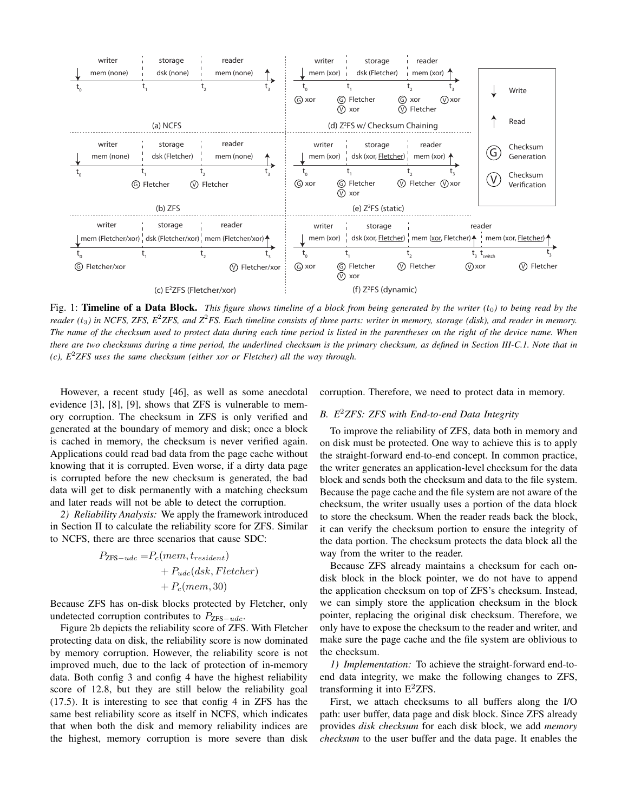

Fig. 1: **Timeline of a Data Block.** *This figure shows timeline of a block from being generated by the writer*  $(t_0)$  *to being read by the reader* (t<sub>3</sub>) in NCFS, ZFS, E<sup>2</sup>ZFS, and Z<sup>2</sup>FS. Each timeline consists of three parts: writer in memory, storage (disk), and reader in memory. *The name of the checksum used to protect data during each time period is listed in the parentheses on the right of the device name. When there are two checksums during a time period, the underlined checksum is the primary checksum, as defined in Section III-C.1. Note that in (c), E*<sup>2</sup>*ZFS uses the same checksum (either xor or Fletcher) all the way through.*

However, a recent study [46], as well as some anecdotal evidence [3], [8], [9], shows that ZFS is vulnerable to memory corruption. The checksum in ZFS is only verified and generated at the boundary of memory and disk; once a block is cached in memory, the checksum is never verified again. Applications could read bad data from the page cache without knowing that it is corrupted. Even worse, if a dirty data page is corrupted before the new checksum is generated, the bad data will get to disk permanently with a matching checksum and later reads will not be able to detect the corruption.

*2) Reliability Analysis:* We apply the framework introduced in Section II to calculate the reliability score for ZFS. Similar to NCFS, there are three scenarios that cause SDC:

$$
P_{\text{ZFS}-udc} = P_c(mem, t_{resident})
$$
  
+  $P_{udc}(dsk, Fletcher)$   
+  $P_c(mem, 30)$ 

Because ZFS has on-disk blocks protected by Fletcher, only undetected corruption contributes to  $P_{\text{ZFS}-udc}$ .

Figure 2b depicts the reliability score of ZFS. With Fletcher protecting data on disk, the reliability score is now dominated by memory corruption. However, the reliability score is not improved much, due to the lack of protection of in-memory data. Both config 3 and config 4 have the highest reliability score of 12.8, but they are still below the reliability goal (17.5). It is interesting to see that config 4 in ZFS has the same best reliability score as itself in NCFS, which indicates that when both the disk and memory reliability indices are the highest, memory corruption is more severe than disk

corruption. Therefore, we need to protect data in memory.

# *B. E*<sup>2</sup>*ZFS: ZFS with End-to-end Data Integrity*

To improve the reliability of ZFS, data both in memory and on disk must be protected. One way to achieve this is to apply the straight-forward end-to-end concept. In common practice, the writer generates an application-level checksum for the data block and sends both the checksum and data to the file system. Because the page cache and the file system are not aware of the checksum, the writer usually uses a portion of the data block to store the checksum. When the reader reads back the block, it can verify the checksum portion to ensure the integrity of the data portion. The checksum protects the data block all the way from the writer to the reader.

Because ZFS already maintains a checksum for each ondisk block in the block pointer, we do not have to append the application checksum on top of ZFS's checksum. Instead, we can simply store the application checksum in the block pointer, replacing the original disk checksum. Therefore, we only have to expose the checksum to the reader and writer, and make sure the page cache and the file system are oblivious to the checksum.

*1) Implementation:* To achieve the straight-forward end-toend data integrity, we make the following changes to ZFS, transforming it into  $E^2ZFS$ .

First, we attach checksums to all buffers along the I/O path: user buffer, data page and disk block. Since ZFS already provides *disk checksum* for each disk block, we add *memory checksum* to the user buffer and the data page. It enables the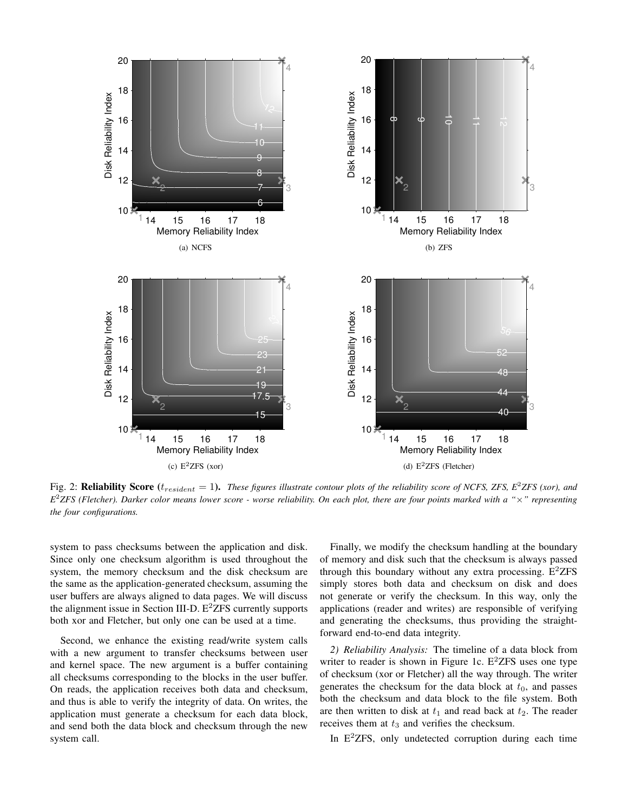

Fig. 2: **Reliability Score** ( $t_{resident} = 1$ ). *These figures illustrate contour plots of the reliability score of NCFS, ZFS, E*<sup>2</sup>*ZFS (xor), and E* 2 *ZFS (Fletcher). Darker color means lower score - worse reliability. On each plot, there are four points marked with a "*×*" representing the four configurations.*

system to pass checksums between the application and disk. Since only one checksum algorithm is used throughout the system, the memory checksum and the disk checksum are the same as the application-generated checksum, assuming the user buffers are always aligned to data pages. We will discuss the alignment issue in Section III-D.  $E^2ZFS$  currently supports both xor and Fletcher, but only one can be used at a time.

Second, we enhance the existing read/write system calls with a new argument to transfer checksums between user and kernel space. The new argument is a buffer containing all checksums corresponding to the blocks in the user buffer. On reads, the application receives both data and checksum, and thus is able to verify the integrity of data. On writes, the application must generate a checksum for each data block, and send both the data block and checksum through the new system call.

Finally, we modify the checksum handling at the boundary of memory and disk such that the checksum is always passed through this boundary without any extra processing.  $E^2ZFS$ simply stores both data and checksum on disk and does not generate or verify the checksum. In this way, only the applications (reader and writes) are responsible of verifying and generating the checksums, thus providing the straightforward end-to-end data integrity.

*2) Reliability Analysis:* The timeline of a data block from writer to reader is shown in Figure 1c.  $E^2ZFS$  uses one type of checksum (xor or Fletcher) all the way through. The writer generates the checksum for the data block at  $t_0$ , and passes both the checksum and data block to the file system. Both are then written to disk at  $t_1$  and read back at  $t_2$ . The reader receives them at  $t_3$  and verifies the checksum.

In  $E^2ZFS$ , only undetected corruption during each time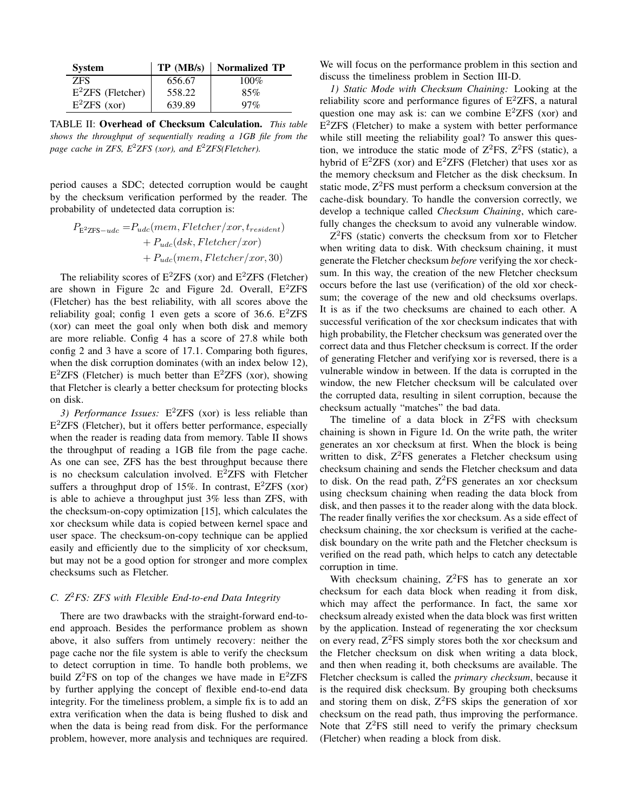| <b>System</b>       |        | TP (MB/s)   Normalized TP |
|---------------------|--------|---------------------------|
| ZFS.                | 656.67 | $100\%$                   |
| $E^2ZFS$ (Fletcher) | 558.22 | 85%                       |
| $E^2ZFS$ (xor)      | 639.89 | $97\%$                    |

TABLE II: Overhead of Checksum Calculation. *This table shows the throughput of sequentially reading a 1GB file from the* page cache in *ZFS*,  $E^2ZFS$  (xor), and  $E^2ZFS$ (*Fletcher*).

period causes a SDC; detected corruption would be caught by the checksum verification performed by the reader. The probability of undetected data corruption is:

$$
P_{\text{E}^2 \text{ZFS}-udc} = P_{udc}(mem, Fletcher/xor, t_{resident})
$$
  
+  $P_{udc}(dsk, Fletcher/xor)$   
+  $P_{udc}(mem, Fletcher/xor, 30)$ 

The reliability scores of  $E^2ZFS$  (xor) and  $E^2ZFS$  (Fletcher) are shown in Figure 2c and Figure 2d. Overall,  $E^2ZFS$ (Fletcher) has the best reliability, with all scores above the reliability goal; config 1 even gets a score of 36.6.  $E^2ZFS$ (xor) can meet the goal only when both disk and memory are more reliable. Config 4 has a score of 27.8 while both config 2 and 3 have a score of 17.1. Comparing both figures, when the disk corruption dominates (with an index below 12),  $E^2ZFS$  (Fletcher) is much better than  $E^2ZFS$  (xor), showing that Fletcher is clearly a better checksum for protecting blocks on disk.

*3) Performance Issues:* E <sup>2</sup>ZFS (xor) is less reliable than E<sup>2</sup>ZFS (Fletcher), but it offers better performance, especially when the reader is reading data from memory. Table II shows the throughput of reading a 1GB file from the page cache. As one can see, ZFS has the best throughput because there is no checksum calculation involved.  $E^2ZFS$  with Fletcher suffers a throughput drop of 15%. In contrast,  $E^2ZFS$  (xor) is able to achieve a throughput just 3% less than ZFS, with the checksum-on-copy optimization [15], which calculates the xor checksum while data is copied between kernel space and user space. The checksum-on-copy technique can be applied easily and efficiently due to the simplicity of xor checksum, but may not be a good option for stronger and more complex checksums such as Fletcher.

## *C. Z*2*FS: ZFS with Flexible End-to-end Data Integrity*

There are two drawbacks with the straight-forward end-toend approach. Besides the performance problem as shown above, it also suffers from untimely recovery: neither the page cache nor the file system is able to verify the checksum to detect corruption in time. To handle both problems, we build  $Z^2FS$  on top of the changes we have made in  $E^2ZFS$ by further applying the concept of flexible end-to-end data integrity. For the timeliness problem, a simple fix is to add an extra verification when the data is being flushed to disk and when the data is being read from disk. For the performance problem, however, more analysis and techniques are required.

We will focus on the performance problem in this section and discuss the timeliness problem in Section III-D.

*1) Static Mode with Checksum Chaining:* Looking at the reliability score and performance figures of  $E^2ZFS$ , a natural question one may ask is: can we combine  $E^2ZFS$  (xor) and E<sup>2</sup>ZFS (Fletcher) to make a system with better performance while still meeting the reliability goal? To answer this question, we introduce the static mode of  $Z^2FS$ ,  $Z^2FS$  (static), a hybrid of  $E^2ZFS$  (xor) and  $E^2ZFS$  (Fletcher) that uses xor as the memory checksum and Fletcher as the disk checksum. In static mode,  $Z^2FS$  must perform a checksum conversion at the cache-disk boundary. To handle the conversion correctly, we develop a technique called *Checksum Chaining*, which carefully changes the checksum to avoid any vulnerable window.

Z <sup>2</sup>FS (static) converts the checksum from xor to Fletcher when writing data to disk. With checksum chaining, it must generate the Fletcher checksum *before* verifying the xor checksum. In this way, the creation of the new Fletcher checksum occurs before the last use (verification) of the old xor checksum; the coverage of the new and old checksums overlaps. It is as if the two checksums are chained to each other. A successful verification of the xor checksum indicates that with high probability, the Fletcher checksum was generated over the correct data and thus Fletcher checksum is correct. If the order of generating Fletcher and verifying xor is reversed, there is a vulnerable window in between. If the data is corrupted in the window, the new Fletcher checksum will be calculated over the corrupted data, resulting in silent corruption, because the checksum actually "matches" the bad data.

The timeline of a data block in  $Z^2FS$  with checksum chaining is shown in Figure 1d. On the write path, the writer generates an xor checksum at first. When the block is being written to disk,  $Z^2FS$  generates a Fletcher checksum using checksum chaining and sends the Fletcher checksum and data to disk. On the read path,  $Z^2FS$  generates an xor checksum using checksum chaining when reading the data block from disk, and then passes it to the reader along with the data block. The reader finally verifies the xor checksum. As a side effect of checksum chaining, the xor checksum is verified at the cachedisk boundary on the write path and the Fletcher checksum is verified on the read path, which helps to catch any detectable corruption in time.

With checksum chaining,  $Z^2FS$  has to generate an xor checksum for each data block when reading it from disk, which may affect the performance. In fact, the same xor checksum already existed when the data block was first written by the application. Instead of regenerating the xor checksum on every read,  $Z^2FS$  simply stores both the xor checksum and the Fletcher checksum on disk when writing a data block, and then when reading it, both checksums are available. The Fletcher checksum is called the *primary checksum*, because it is the required disk checksum. By grouping both checksums and storing them on disk,  $Z^2FS$  skips the generation of xor checksum on the read path, thus improving the performance. Note that  $Z^2FS$  still need to verify the primary checksum (Fletcher) when reading a block from disk.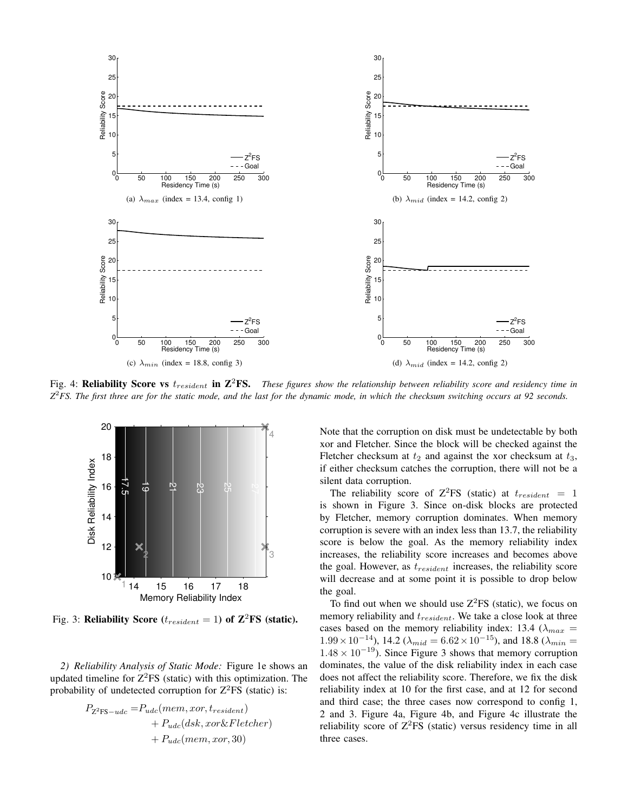

Fig. 4: **Reliability Score vs**  $t_{resident}$  in  $\mathbb{Z}^2$ **FS.** These figures show the relationship between reliability score and residency time in *Z* <sup>2</sup>*FS. The first three are for the static mode, and the last for the dynamic mode, in which the checksum switching occurs at 92 seconds.*



Fig. 3: Reliability Score ( $t_{resident} = 1$ ) of  $\mathbb{Z}^2$ FS (static).

*2) Reliability Analysis of Static Mode:* Figure 1e shows an updated timeline for  $Z^2FS$  (static) with this optimization. The probability of undetected corruption for  $Z^2FS$  (static) is:

$$
P_{Z^{2}FS-udc} = P_{udc}(mem, xor, t_{resident})
$$
  
+ 
$$
P_{udc}(dsk, xor \& Fletcher)
$$
  
+ 
$$
P_{udc}(mem, xor, 30)
$$

Note that the corruption on disk must be undetectable by both xor and Fletcher. Since the block will be checked against the Fletcher checksum at  $t_2$  and against the xor checksum at  $t_3$ , if either checksum catches the corruption, there will not be a silent data corruption.

The reliability score of  $Z^2FS$  (static) at  $t_{resident} = 1$ is shown in Figure 3. Since on-disk blocks are protected by Fletcher, memory corruption dominates. When memory corruption is severe with an index less than 13.7, the reliability score is below the goal. As the memory reliability index increases, the reliability score increases and becomes above the goal. However, as  $t_{resident}$  increases, the reliability score will decrease and at some point it is possible to drop below the goal.

To find out when we should use  $Z^2FS$  (static), we focus on memory reliability and  $t_{resident}$ . We take a close look at three cases based on the memory reliability index: 13.4 ( $\lambda_{max}$  =  $1.99 \times 10^{-14}$ ), 14.2 ( $\lambda_{mid} = 6.62 \times 10^{-15}$ ), and 18.8 ( $\lambda_{min} =$  $1.48 \times 10^{-19}$ ). Since Figure 3 shows that memory corruption dominates, the value of the disk reliability index in each case does not affect the reliability score. Therefore, we fix the disk reliability index at 10 for the first case, and at 12 for second and third case; the three cases now correspond to config 1, 2 and 3. Figure 4a, Figure 4b, and Figure 4c illustrate the reliability score of  $Z^2FS$  (static) versus residency time in all three cases.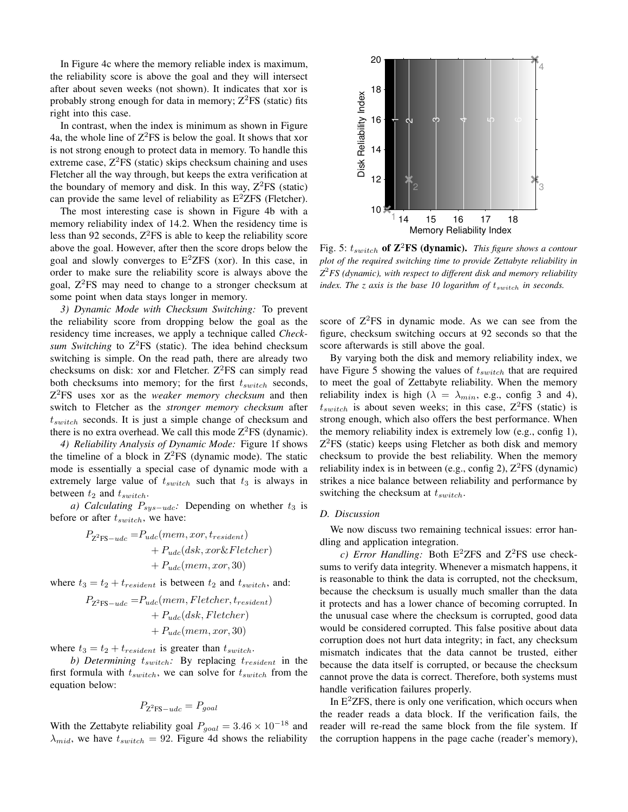In Figure 4c where the memory reliable index is maximum, the reliability score is above the goal and they will intersect after about seven weeks (not shown). It indicates that xor is probably strong enough for data in memory;  $Z^2FS$  (static) fits right into this case.

In contrast, when the index is minimum as shown in Figure 4a, the whole line of  $Z^2FS$  is below the goal. It shows that xor is not strong enough to protect data in memory. To handle this extreme case,  $Z^2FS$  (static) skips checksum chaining and uses Fletcher all the way through, but keeps the extra verification at the boundary of memory and disk. In this way,  $Z^2FS$  (static) can provide the same level of reliability as  $E^2ZFS$  (Fletcher).

The most interesting case is shown in Figure 4b with a memory reliability index of 14.2. When the residency time is less than 92 seconds,  $Z^2FS$  is able to keep the reliability score above the goal. However, after then the score drops below the goal and slowly converges to  $E^2ZFS$  (xor). In this case, in order to make sure the reliability score is always above the goal,  $Z^2FS$  may need to change to a stronger checksum at some point when data stays longer in memory.

*3) Dynamic Mode with Checksum Switching:* To prevent the reliability score from dropping below the goal as the residency time increases, we apply a technique called *Checksum Switching* to  $Z^2FS$  (static). The idea behind checksum switching is simple. On the read path, there are already two checksums on disk: xor and Fletcher.  $Z^2FS$  can simply read both checksums into memory; for the first  $t_{switch}$  seconds, Z <sup>2</sup>FS uses xor as the *weaker memory checksum* and then switch to Fletcher as the *stronger memory checksum* after  $t_{switch}$  seconds. It is just a simple change of checksum and there is no extra overhead. We call this mode  $Z^2FS$  (dynamic).

*4) Reliability Analysis of Dynamic Mode:* Figure 1f shows the timeline of a block in  $Z^2FS$  (dynamic mode). The static mode is essentially a special case of dynamic mode with a extremely large value of  $t_{switch}$  such that  $t_3$  is always in between  $t_2$  and  $t_{switch}$ .

*a)* Calculating  $P_{sys-udc}$ : Depending on whether  $t_3$  is before or after  $t_{switch}$ , we have:

$$
P_{Z^{2}FS-udc} = P_{udc}(mem, xor, t_{resident})
$$
  
+ 
$$
P_{udc}(dsk, xor \& Fletcher)
$$
  
+ 
$$
P_{udc}(mem, xor, 30)
$$

where  $t_3 = t_2 + t_{resident}$  is between  $t_2$  and  $t_{switch}$ , and:

$$
P_{Z^{2}FS-udc} = P_{udc}(mem, Fletcher, t_{resident})
$$
  
+  $P_{udc}(dsk, Fletcher)$   
+  $P_{udc}(mem, xor, 30)$ 

where  $t_3 = t_2 + t_{resident}$  is greater than  $t_{switch}$ .

*b)* Determining  $t_{switch}$ : By replacing  $t_{resident}$  in the first formula with  $t_{switch}$ , we can solve for  $t_{switch}$  from the equation below:

$$
P_{Z^2 \text{FS}-udc} = P_{goal}
$$

With the Zettabyte reliability goal  $P_{goal} = 3.46 \times 10^{-18}$  and  $\lambda_{mid}$ , we have  $t_{switch} = 92$ . Figure 4d shows the reliability



Fig. 5:  $t_{switch}$  of  $\mathbb{Z}^2$ FS (dynamic). *This figure shows a contour plot of the required switching time to provide Zettabyte reliability in Z* <sup>2</sup>*FS (dynamic), with respect to different disk and memory reliability index. The z axis is the base 10 logarithm of*  $t_{switch}$  *in seconds.* 

score of  $Z^2FS$  in dynamic mode. As we can see from the figure, checksum switching occurs at 92 seconds so that the score afterwards is still above the goal.

By varying both the disk and memory reliability index, we have Figure 5 showing the values of  $t_{switch}$  that are required to meet the goal of Zettabyte reliability. When the memory reliability index is high ( $\lambda = \lambda_{min}$ , e.g., config 3 and 4),  $t_{switch}$  is about seven weeks; in this case,  $Z^2FS$  (static) is strong enough, which also offers the best performance. When the memory reliability index is extremely low (e.g., config 1), Z <sup>2</sup>FS (static) keeps using Fletcher as both disk and memory checksum to provide the best reliability. When the memory reliability index is in between (e.g., config 2),  $Z^2FS$  (dynamic) strikes a nice balance between reliability and performance by switching the checksum at  $t_{switch}$ .

### *D. Discussion*

We now discuss two remaining technical issues: error handling and application integration.

*c) Error Handling:* Both  $E^2ZFS$  and  $Z^2FS$  use checksums to verify data integrity. Whenever a mismatch happens, it is reasonable to think the data is corrupted, not the checksum, because the checksum is usually much smaller than the data it protects and has a lower chance of becoming corrupted. In the unusual case where the checksum is corrupted, good data would be considered corrupted. This false positive about data corruption does not hurt data integrity; in fact, any checksum mismatch indicates that the data cannot be trusted, either because the data itself is corrupted, or because the checksum cannot prove the data is correct. Therefore, both systems must handle verification failures properly.

In  $E^2ZFS$ , there is only one verification, which occurs when the reader reads a data block. If the verification fails, the reader will re-read the same block from the file system. If the corruption happens in the page cache (reader's memory),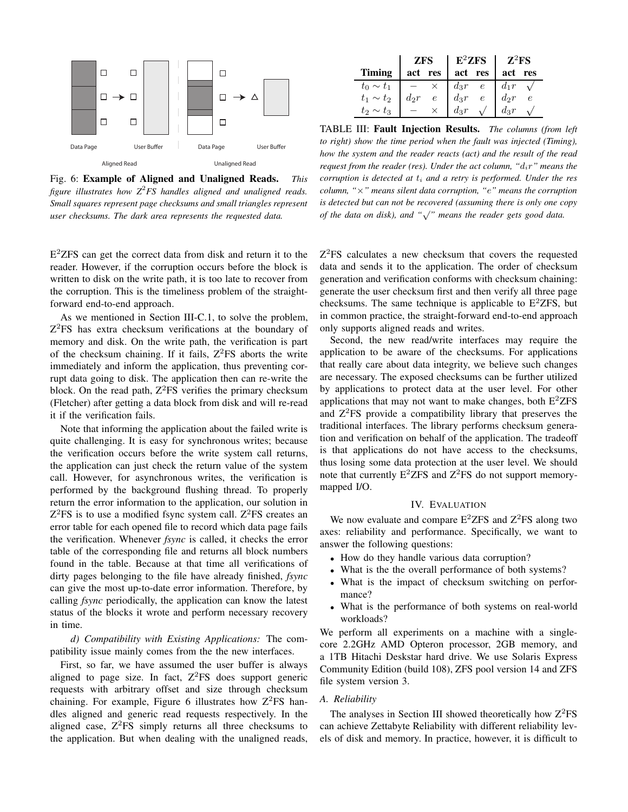

Fig. 6: Example of Aligned and Unaligned Reads. *This figure illustrates how*  $Z^2$ *FS handles aligned and unaligned reads. Small squares represent page checksums and small triangles represent user checksums. The dark area represents the requested data.*

 $E<sup>2</sup>ZFS$  can get the correct data from disk and return it to the reader. However, if the corruption occurs before the block is written to disk on the write path, it is too late to recover from the corruption. This is the timeliness problem of the straightforward end-to-end approach.

As we mentioned in Section III-C.1, to solve the problem,  $Z<sup>2</sup>FS$  has extra checksum verifications at the boundary of memory and disk. On the write path, the verification is part of the checksum chaining. If it fails,  $Z^2FS$  aborts the write immediately and inform the application, thus preventing corrupt data going to disk. The application then can re-write the block. On the read path,  $Z^2FS$  verifies the primary checksum (Fletcher) after getting a data block from disk and will re-read it if the verification fails.

Note that informing the application about the failed write is quite challenging. It is easy for synchronous writes; because the verification occurs before the write system call returns, the application can just check the return value of the system call. However, for asynchronous writes, the verification is performed by the background flushing thread. To properly return the error information to the application, our solution in  $Z^2FS$  is to use a modified fsync system call.  $Z^2FS$  creates an error table for each opened file to record which data page fails the verification. Whenever *fsync* is called, it checks the error table of the corresponding file and returns all block numbers found in the table. Because at that time all verifications of dirty pages belonging to the file have already finished, *fsync* can give the most up-to-date error information. Therefore, by calling *fsync* periodically, the application can know the latest status of the blocks it wrote and perform necessary recovery in time.

*d) Compatibility with Existing Applications:* The compatibility issue mainly comes from the the new interfaces.

First, so far, we have assumed the user buffer is always aligned to page size. In fact,  $Z^2FS$  does support generic requests with arbitrary offset and size through checksum chaining. For example, Figure 6 illustrates how  $Z^2FS$  handles aligned and generic read requests respectively. In the aligned case,  $Z^2FS$  simply returns all three checksums to the application. But when dealing with the unaligned reads,

|                | ZFS                  | $E^2ZFS$             | $\mathbf{Z}^2\mathbf{FS}$ |  |
|----------------|----------------------|----------------------|---------------------------|--|
| <b>Timing</b>  | act res              | act res              | act res                   |  |
| $t_0 \sim t_1$ | $\times$             | $d_3r$<br>$\epsilon$ | $d_1r$                    |  |
| $t_1 \sim t_2$ | $d_2r$<br>$\epsilon$ | $\tilde{d_3r}$<br>e  | $d_2r$<br>$\epsilon$      |  |
| $t_2 \sim t_3$ |                      |                      | $d_3r$                    |  |

TABLE III: Fault Injection Results. *The columns (from left to right) show the time period when the fault was injected (Timing), how the system and the reader reacts (act) and the result of the read request from the reader (res). Under the act column, "* $d_i r$ *" means the corruption is detected at* t<sup>i</sup> *and a retry is performed. Under the res column, "*×*" means silent data corruption, "*e*" means the corruption is detected but can not be recovered (assuming there is only one copy of the data on disk), and "*√ *" means the reader gets good data.*

 $Z<sup>2</sup>FS$  calculates a new checksum that covers the requested data and sends it to the application. The order of checksum generation and verification conforms with checksum chaining: generate the user checksum first and then verify all three page checksums. The same technique is applicable to  $E^2ZFS$ , but in common practice, the straight-forward end-to-end approach only supports aligned reads and writes.

Second, the new read/write interfaces may require the application to be aware of the checksums. For applications that really care about data integrity, we believe such changes are necessary. The exposed checksums can be further utilized by applications to protect data at the user level. For other applications that may not want to make changes, both  $E^2ZFS$ and  $Z^2FS$  provide a compatibility library that preserves the traditional interfaces. The library performs checksum generation and verification on behalf of the application. The tradeoff is that applications do not have access to the checksums, thus losing some data protection at the user level. We should note that currently  $E^2ZFS$  and  $Z^2FS$  do not support memorymapped I/O.

#### IV. EVALUATION

We now evaluate and compare  $E^2ZFS$  and  $Z^2FS$  along two axes: reliability and performance. Specifically, we want to answer the following questions:

- How do they handle various data corruption?
- What is the the overall performance of both systems?
- What is the impact of checksum switching on performance?
- What is the performance of both systems on real-world workloads?

We perform all experiments on a machine with a singlecore 2.2GHz AMD Opteron processor, 2GB memory, and a 1TB Hitachi Deskstar hard drive. We use Solaris Express Community Edition (build 108), ZFS pool version 14 and ZFS file system version 3.

## *A. Reliability*

The analyses in Section III showed theoretically how  $Z^2FS$ can achieve Zettabyte Reliability with different reliability levels of disk and memory. In practice, however, it is difficult to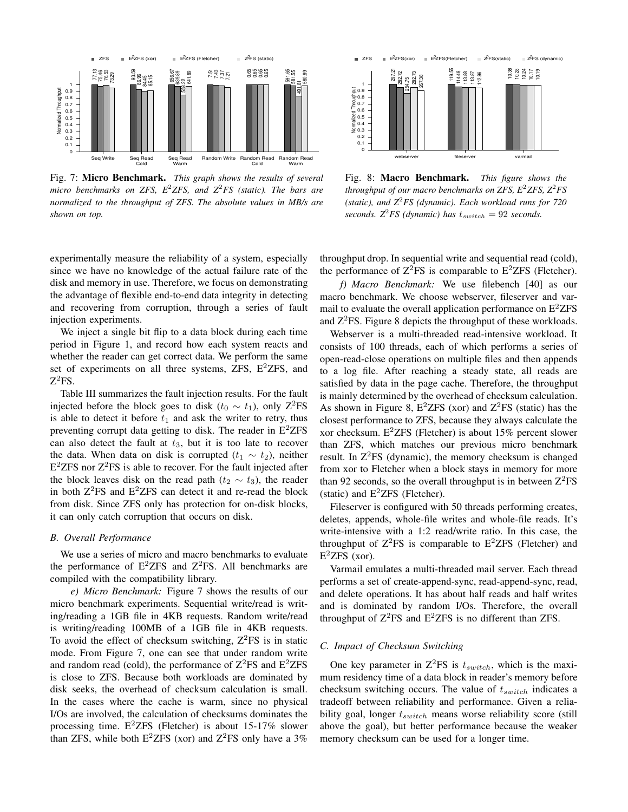

Fig. 7: Micro Benchmark. *This graph shows the results of several micro benchmarks on ZFS, E*<sup>2</sup> *ZFS, and Z*<sup>2</sup>*FS (static). The bars are normalized to the throughput of ZFS. The absolute values in MB/s are shown on top.*



Fig. 8: Macro Benchmark. *This figure shows the throughput of our macro benchmarks on ZFS,*  $E^2ZFS$ *,*  $Z^2FS$ *(static), and Z*<sup>2</sup>*FS (dynamic). Each workload runs for 720 seconds.*  $Z^2FS$  (dynamic) has  $t_{switch} = 92$  *seconds.* 

experimentally measure the reliability of a system, especially since we have no knowledge of the actual failure rate of the disk and memory in use. Therefore, we focus on demonstrating the advantage of flexible end-to-end data integrity in detecting and recovering from corruption, through a series of fault injection experiments.

We inject a single bit flip to a data block during each time period in Figure 1, and record how each system reacts and whether the reader can get correct data. We perform the same set of experiments on all three systems,  $ZFS$ ,  $E^2ZFS$ , and  $Z^2$ FS.

Table III summarizes the fault injection results. For the fault injected before the block goes to disk ( $t_0 \sim t_1$ ), only Z<sup>2</sup>FS is able to detect it before  $t_1$  and ask the writer to retry, thus preventing corrupt data getting to disk. The reader in  $E^2ZFS$ can also detect the fault at  $t_3$ , but it is too late to recover the data. When data on disk is corrupted  $(t_1 \sim t_2)$ , neither  $E<sup>2</sup>ZFS$  nor  $Z<sup>2</sup>FS$  is able to recover. For the fault injected after the block leaves disk on the read path ( $t_2 \sim t_3$ ), the reader in both  $Z^2FS$  and  $E^2ZFS$  can detect it and re-read the block from disk. Since ZFS only has protection for on-disk blocks, it can only catch corruption that occurs on disk.

#### *B. Overall Performance*

We use a series of micro and macro benchmarks to evaluate the performance of  $E^2ZFS$  and  $Z^2FS$ . All benchmarks are compiled with the compatibility library.

*e) Micro Benchmark:* Figure 7 shows the results of our micro benchmark experiments. Sequential write/read is writing/reading a 1GB file in 4KB requests. Random write/read is writing/reading 100MB of a 1GB file in 4KB requests. To avoid the effect of checksum switching,  $Z^2FS$  is in static mode. From Figure 7, one can see that under random write and random read (cold), the performance of  $Z^2FS$  and  $E^2ZFS$ is close to ZFS. Because both workloads are dominated by disk seeks, the overhead of checksum calculation is small. In the cases where the cache is warm, since no physical I/Os are involved, the calculation of checksums dominates the processing time.  $E^2ZFS$  (Fletcher) is about 15-17% slower than ZFS, while both  $E^2ZFS$  (xor) and  $Z^2FS$  only have a 3% throughput drop. In sequential write and sequential read (cold), the performance of  $Z^2FS$  is comparable to  $E^2ZFS$  (Fletcher).

*f) Macro Benchmark:* We use filebench [40] as our macro benchmark. We choose webserver, fileserver and varmail to evaluate the overall application performance on  $E^2ZFS$ and  $Z^2FS$ . Figure 8 depicts the throughput of these workloads.

Webserver is a multi-threaded read-intensive workload. It consists of 100 threads, each of which performs a series of open-read-close operations on multiple files and then appends to a log file. After reaching a steady state, all reads are satisfied by data in the page cache. Therefore, the throughput is mainly determined by the overhead of checksum calculation. As shown in Figure 8,  $E^2ZFS$  (xor) and  $Z^2FS$  (static) has the closest performance to ZFS, because they always calculate the xor checksum.  $E^2ZFS$  (Fletcher) is about 15% percent slower than ZFS, which matches our previous micro benchmark result. In  $Z^2FS$  (dynamic), the memory checksum is changed from xor to Fletcher when a block stays in memory for more than 92 seconds, so the overall throughput is in between  $Z^2FS$ (static) and  $E^2ZFS$  (Fletcher).

Fileserver is configured with 50 threads performing creates, deletes, appends, whole-file writes and whole-file reads. It's write-intensive with a 1:2 read/write ratio. In this case, the throughput of  $Z^2FS$  is comparable to  $E^2ZFS$  (Fletcher) and  $E^2ZFS$  (xor).

Varmail emulates a multi-threaded mail server. Each thread performs a set of create-append-sync, read-append-sync, read, and delete operations. It has about half reads and half writes and is dominated by random I/Os. Therefore, the overall throughput of  $Z^2FS$  and  $E^2ZFS$  is no different than ZFS.

#### *C. Impact of Checksum Switching*

One key parameter in  $Z^2FS$  is  $t_{switch}$ , which is the maximum residency time of a data block in reader's memory before checksum switching occurs. The value of  $t_{switch}$  indicates a tradeoff between reliability and performance. Given a reliability goal, longer  $t_{switch}$  means worse reliability score (still above the goal), but better performance because the weaker memory checksum can be used for a longer time.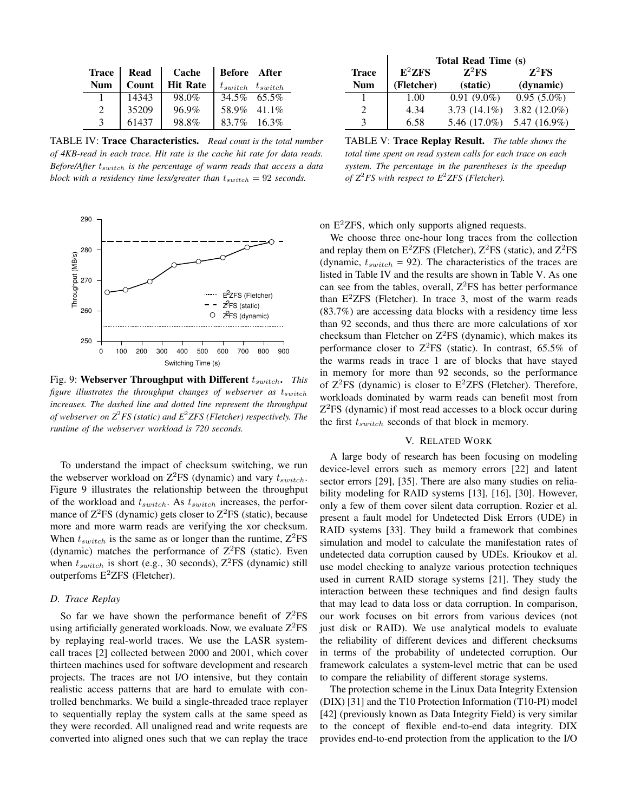| Trace                       | Read  | Cache           | Before After              |  |
|-----------------------------|-------|-----------------|---------------------------|--|
| <b>Num</b>                  | Count | <b>Hit Rate</b> | $t_{switch}$ $t_{switch}$ |  |
|                             | 14343 | 98.0%           | 34.5% 65.5%               |  |
| $\mathcal{D}_{\mathcal{L}}$ | 35209 | 96.9%           | $58.9\%$ 41.1\%           |  |
| 3                           | 61437 | 98.8%           | 83.7% 16.3%               |  |

TABLE IV: Trace Characteristics. *Read count is the total number of 4KB-read in each trace. Hit rate is the cache hit rate for data reads. Before/After*  $t_{switch}$  *is the percentage of warm reads that access a data block with a residency time less/greater than*  $t_{switch} = 92$  *seconds.* 



Fig. 9: Webserver Throughput with Different  $t_{switch}$ . This *figure illustrates the throughput changes of webserver as*  $t_{switch}$ *increases. The dashed line and dotted line represent the throughput of webserver on Z*<sup>2</sup>*FS (static) and E*<sup>2</sup> *ZFS (Fletcher) respectively. The runtime of the webserver workload is 720 seconds.*

To understand the impact of checksum switching, we run the webserver workload on  $Z^2FS$  (dynamic) and vary  $t_{switch}$ . Figure 9 illustrates the relationship between the throughput of the workload and  $t_{switch}$ . As  $t_{switch}$  increases, the performance of  $Z^2FS$  (dynamic) gets closer to  $Z^2FS$  (static), because more and more warm reads are verifying the xor checksum. When  $t_{switch}$  is the same as or longer than the runtime,  $Z^2FS$ (dynamic) matches the performance of  $Z^2FS$  (static). Even when  $t_{switch}$  is short (e.g., 30 seconds),  $Z^2FS$  (dynamic) still outperfoms  $E^2ZFS$  (Fletcher).

# *D. Trace Replay*

So far we have shown the performance benefit of  $Z^2FS$ using artificially generated workloads. Now, we evaluate  $Z^2FS$ by replaying real-world traces. We use the LASR systemcall traces [2] collected between 2000 and 2001, which cover thirteen machines used for software development and research projects. The traces are not I/O intensive, but they contain realistic access patterns that are hard to emulate with controlled benchmarks. We build a single-threaded trace replayer to sequentially replay the system calls at the same speed as they were recorded. All unaligned read and write requests are converted into aligned ones such that we can replay the trace

|                             | Total Read Time (s) |                           |                           |  |
|-----------------------------|---------------------|---------------------------|---------------------------|--|
| <b>Trace</b>                | $E^2ZFS$            | $\mathbf{Z}^2\mathbf{FS}$ | $\mathbf{Z}^2\mathbf{FS}$ |  |
| <b>Num</b>                  | (Fletcher)          | (static)                  | (dynamic)                 |  |
|                             | 1.00                | $0.91(9.0\%)$             | $0.95(5.0\%)$             |  |
| $\mathcal{D}_{\mathcal{L}}$ | 4.34                | 3.73 $(14.1\%)$           | 3.82 $(12.0\%)$           |  |
| 3                           | 6.58                | 5.46 (17.0%)              | 5.47 (16.9%)              |  |

TABLE V: Trace Replay Result. *The table shows the total time spent on read system calls for each trace on each system. The percentage in the parentheses is the speedup of Z*<sup>2</sup>*FS with respect to E*<sup>2</sup> *ZFS (Fletcher).*

on  $E^2ZFS$ , which only supports aligned requests.

We choose three one-hour long traces from the collection and replay them on  $E^2ZFS$  (Fletcher),  $Z^2FS$  (static), and  $Z^2FS$ (dynamic,  $t_{switch} = 92$ ). The characteristics of the traces are listed in Table IV and the results are shown in Table V. As one can see from the tables, overall,  $Z^2FS$  has better performance than  $E^2ZFS$  (Fletcher). In trace 3, most of the warm reads (83.7%) are accessing data blocks with a residency time less than 92 seconds, and thus there are more calculations of xor checksum than Fletcher on  $Z^2FS$  (dynamic), which makes its performance closer to  $Z^2FS$  (static). In contrast, 65.5% of the warms reads in trace 1 are of blocks that have stayed in memory for more than 92 seconds, so the performance of  $Z^2FS$  (dynamic) is closer to  $E^2ZFS$  (Fletcher). Therefore, workloads dominated by warm reads can benefit most from  $Z<sup>2</sup>FS$  (dynamic) if most read accesses to a block occur during the first  $t_{switch}$  seconds of that block in memory.

## V. RELATED WORK

A large body of research has been focusing on modeling device-level errors such as memory errors [22] and latent sector errors [29], [35]. There are also many studies on reliability modeling for RAID systems [13], [16], [30]. However, only a few of them cover silent data corruption. Rozier et al. present a fault model for Undetected Disk Errors (UDE) in RAID systems [33]. They build a framework that combines simulation and model to calculate the manifestation rates of undetected data corruption caused by UDEs. Krioukov et al. use model checking to analyze various protection techniques used in current RAID storage systems [21]. They study the interaction between these techniques and find design faults that may lead to data loss or data corruption. In comparison, our work focuses on bit errors from various devices (not just disk or RAID). We use analytical models to evaluate the reliability of different devices and different checksums in terms of the probability of undetected corruption. Our framework calculates a system-level metric that can be used to compare the reliability of different storage systems.

The protection scheme in the Linux Data Integrity Extension (DIX) [31] and the T10 Protection Information (T10-PI) model [42] (previously known as Data Integrity Field) is very similar to the concept of flexible end-to-end data integrity. DIX provides end-to-end protection from the application to the I/O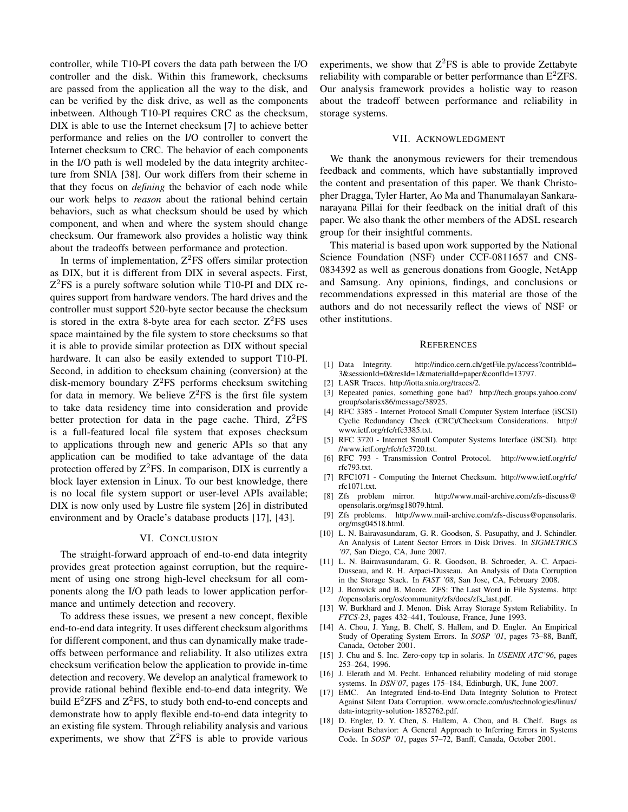controller, while T10-PI covers the data path between the I/O controller and the disk. Within this framework, checksums are passed from the application all the way to the disk, and can be verified by the disk drive, as well as the components inbetween. Although T10-PI requires CRC as the checksum, DIX is able to use the Internet checksum [7] to achieve better performance and relies on the I/O controller to convert the Internet checksum to CRC. The behavior of each components in the I/O path is well modeled by the data integrity architecture from SNIA [38]. Our work differs from their scheme in that they focus on *defining* the behavior of each node while our work helps to *reason* about the rational behind certain behaviors, such as what checksum should be used by which component, and when and where the system should change checksum. Our framework also provides a holistic way think about the tradeoffs between performance and protection.

In terms of implementation,  $Z^2FS$  offers similar protection as DIX, but it is different from DIX in several aspects. First,  $Z^2$ FS is a purely software solution while T10-PI and DIX requires support from hardware vendors. The hard drives and the controller must support 520-byte sector because the checksum is stored in the extra 8-byte area for each sector.  $Z^2FS$  uses space maintained by the file system to store checksums so that it is able to provide similar protection as DIX without special hardware. It can also be easily extended to support T10-PI. Second, in addition to checksum chaining (conversion) at the disk-memory boundary  $Z^2FS$  performs checksum switching for data in memory. We believe  $Z^2FS$  is the first file system to take data residency time into consideration and provide better protection for data in the page cache. Third,  $Z^2FS$ is a full-featured local file system that exposes checksum to applications through new and generic APIs so that any application can be modified to take advantage of the data protection offered by  $Z^2FS$ . In comparison, DIX is currently a block layer extension in Linux. To our best knowledge, there is no local file system support or user-level APIs available; DIX is now only used by Lustre file system [26] in distributed environment and by Oracle's database products [17], [43].

#### VI. CONCLUSION

The straight-forward approach of end-to-end data integrity provides great protection against corruption, but the requirement of using one strong high-level checksum for all components along the I/O path leads to lower application performance and untimely detection and recovery.

To address these issues, we present a new concept, flexible end-to-end data integrity. It uses different checksum algorithms for different component, and thus can dynamically make tradeoffs between performance and reliability. It also utilizes extra checksum verification below the application to provide in-time detection and recovery. We develop an analytical framework to provide rational behind flexible end-to-end data integrity. We build  $E^2ZFS$  and  $Z^2FS$ , to study both end-to-end concepts and demonstrate how to apply flexible end-to-end data integrity to an existing file system. Through reliability analysis and various experiments, we show that  $Z^2FS$  is able to provide various experiments, we show that  $Z^2FS$  is able to provide Zettabyte reliability with comparable or better performance than  $E^2ZFS$ . Our analysis framework provides a holistic way to reason about the tradeoff between performance and reliability in storage systems.

#### VII. ACKNOWLEDGMENT

We thank the anonymous reviewers for their tremendous feedback and comments, which have substantially improved the content and presentation of this paper. We thank Christopher Dragga, Tyler Harter, Ao Ma and Thanumalayan Sankaranarayana Pillai for their feedback on the initial draft of this paper. We also thank the other members of the ADSL research group for their insightful comments.

This material is based upon work supported by the National Science Foundation (NSF) under CCF-0811657 and CNS-0834392 as well as generous donations from Google, NetApp and Samsung. Any opinions, findings, and conclusions or recommendations expressed in this material are those of the authors and do not necessarily reflect the views of NSF or other institutions.

#### **REFERENCES**

- [1] Data Integrity. http://indico.cern.ch/getFile.py/access?contribId= 3&sessionId=0&resId=1&materialId=paper&confId=13797.
- [2] LASR Traces. http://iotta.snia.org/traces/2.
- [3] Repeated panics, something gone bad? http://tech.groups.yahoo.com/ group/solarisx86/message/38925.
- [4] RFC 3385 Internet Protocol Small Computer System Interface (iSCSI) Cyclic Redundancy Check (CRC)/Checksum Considerations. http:// www.ietf.org/rfc/rfc3385.txt.
- [5] RFC 3720 Internet Small Computer Systems Interface (iSCSI). http: //www.ietf.org/rfc/rfc3720.txt.
- [6] RFC 793 Transmission Control Protocol. http://www.ietf.org/rfc/ rfc793.txt.
- [7] RFC1071 Computing the Internet Checksum. http://www.ietf.org/rfc/ rfc1071.txt.
- [8] Zfs problem mirror. http://www.mail-archive.com/zfs-discuss@ opensolaris.org/msg18079.html.
- [9] Zfs problems. http://www.mail-archive.com/zfs-discuss@opensolaris. org/msg04518.html.
- [10] L. N. Bairavasundaram, G. R. Goodson, S. Pasupathy, and J. Schindler. An Analysis of Latent Sector Errors in Disk Drives. In *SIGMETRICS '07*, San Diego, CA, June 2007.
- [11] L. N. Bairavasundaram, G. R. Goodson, B. Schroeder, A. C. Arpaci-Dusseau, and R. H. Arpaci-Dusseau. An Analysis of Data Corruption in the Storage Stack. In *FAST '08*, San Jose, CA, February 2008.
- [12] J. Bonwick and B. Moore. ZFS: The Last Word in File Systems. http: //opensolaris.org/os/community/zfs/docs/zfs last.pdf.
- [13] W. Burkhard and J. Menon. Disk Array Storage System Reliability. In *FTCS-23*, pages 432–441, Toulouse, France, June 1993.
- [14] A. Chou, J. Yang, B. Chelf, S. Hallem, and D. Engler. An Empirical Study of Operating System Errors. In *SOSP '01*, pages 73–88, Banff, Canada, October 2001.
- [15] J. Chu and S. Inc. Zero-copy tcp in solaris. In *USENIX ATC'96*, pages 253–264, 1996.
- [16] J. Elerath and M. Pecht. Enhanced reliability modeling of raid storage systems. In *DSN'07*, pages 175–184, Edinburgh, UK, June 2007.
- [17] EMC. An Integrated End-to-End Data Integrity Solution to Protect Against Silent Data Corruption. www.oracle.com/us/technologies/linux/ data-integrity-solution-1852762.pdf.
- [18] D. Engler, D. Y. Chen, S. Hallem, A. Chou, and B. Chelf. Bugs as Deviant Behavior: A General Approach to Inferring Errors in Systems Code. In *SOSP '01*, pages 57–72, Banff, Canada, October 2001.